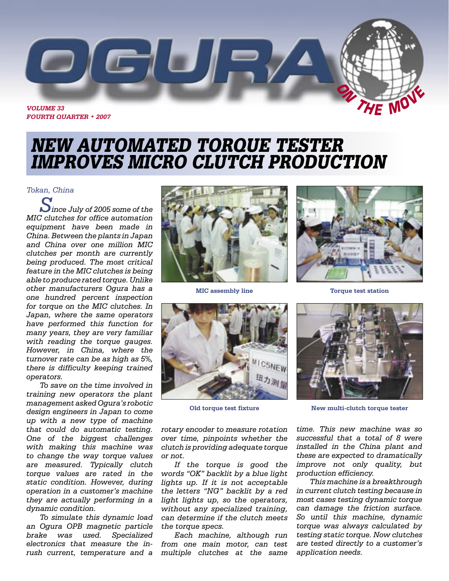

# NEW AUTOMATED TORQUE TESTER IMPROVES MICRO CLUTCH PRODUCTION

#### *Tokan, China*

*Since July of 2005 some of the MIC clutches for office automation equipment have been made in China. Between the plants in Japan and China over one million MIC clutches per month are currently being produced. The most critical feature in the MIC clutches is being able to produce rated torque. Unlike other manufacturers Ogura has a one hundred percent inspection for torque on the MIC clutches. In Japan, where the same operators have performed this function for many years, they are very familiar with reading the torque gauges. However, in China, where the turnover rate can be as high as 5%, there is difficulty keeping trained operators.*

*To save on the time involved in training new operators the plant management asked Ogura's robotic design engineers in Japan to come up with a new type of machine that could do automatic testing. One of the biggest challenges with making this machine was to change the way torque values are measured. Typically clutch torque values are rated in the static condition. However, during operation in a customer's machine they are actually performing in a dynamic condition.* 

*To simulate this dynamic load an Ogura OPB magnetic particle brake was used. Specialized electronics that measure the inrush current, temperature and a multiple clutches at the same* 





**Old torque test fixture**

*rotary encoder to measure rotation over time, pinpoints whether the clutch is providing adequate torque or not.* 

*If the torque is good the words "OK" backlit by a blue light lights up. If it is not acceptable the letters "NG" backlit by a red light lights up, so the operators, without any specialized training, can determine if the clutch meets the torque specs.* 

*Each machine, although run from one main motor, can test* 



**MIC assembly line Torque test station**



**New multi-clutch torque tester**

*time. This new machine was so successful that a total of 8 were installed in the China plant and these are expected to dramatically improve not only quality, but production efficiency.* 

*This machine is a breakthrough in current clutch testing because in most cases testing dynamic torque can damage the friction surface. So until this machine, dynamic torque was always calculated by testing static torque. Now clutches are tested directly to a customer's application needs.*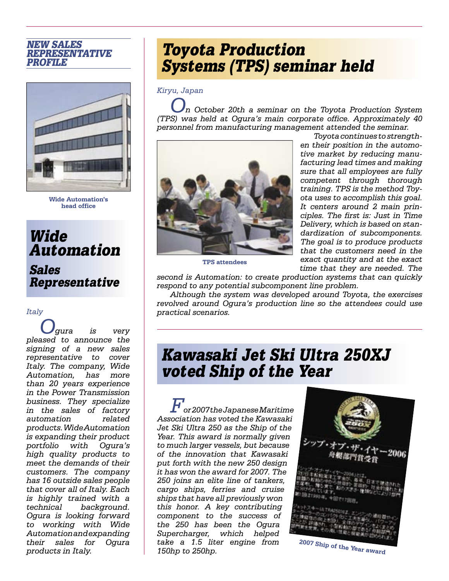### NEW SALES REPRESENTATIVE PROFILE



**Wide Automation's head office**

Wide Automation

## Sales Representative

#### *Italy*

*Ogura is very pleased to announce the signing of a new sales representative to cover Italy. The company, Wide Automation, has more than 20 years experience in the Power Transmission business. They specialize in the sales of factory automation related products. Wide Automation is expanding their product portfolio with Ogura's high quality products to meet the demands of their customers. The company has 16 outside sales people that cover all of Italy. Each is highly trained with a technical background. Ogura is looking forward to working with Wide Automation and expanding their sales for Ogura products in Italy.*

# Toyota Production Systems (TPS) seminar held

*Kiryu, Japan*

*On October 20th a seminar on the Toyota Production System (TPS) was held at Ogura's main corporate office. Approximately 40 personnel from manufacturing management attended the seminar.* 



**TPS attendees**

*Toyota continues to strengthen their position in the automotive market by reducing manufacturing lead times and making sure that all employees are fully competent through thorough training. TPS is the method Toyota uses to accomplish this goal. It centers around 2 main principles. The first is: Just in Time Delivery, which is based on standardization of subcomponents. The goal is to produce products that the customers need in the exact quantity and at the exact time that they are needed. The* 

*second is Automation: to create production systems that can quickly respond to any potential subcomponent line problem.* 

*Although the system was developed around Toyota, the exercises revolved around Ogura's production line so the attendees could use practical scenarios.*

# Kawasaki Jet Ski Ultra 250XJ voted Ship of the Year

*For 2007 the Japanese Maritime Association has voted the Kawasaki Jet Ski Ultra 250 as the Ship of the Year. This award is normally given to much larger vessels, but because of the innovation that Kawasaki put forth with the new 250 design it has won the award for 2007. The 250 joins an elite line of tankers, cargo ships, ferries and cruise ships that have all previously won this honor. A key contributing component to the success of the 250 has been the Ogura Supercharger, which helped take a 1.5 liter engine from 150hp to 250hp.* 

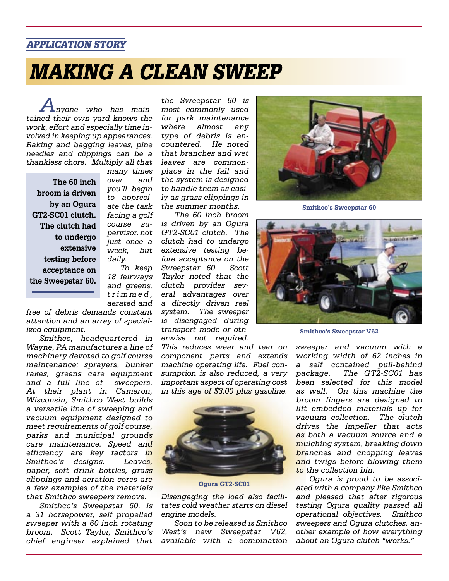### APPLICATION STORY

# MAKING A CLEAN SWEEP

*Anyone who has maintained their own yard knows the work, effort and especially time involved in keeping up appearances. Raking and bagging leaves, pine needles and clippings can be a thankless chore. Multiply all that* 

**The 60 inch broom is driven by an Ogura GT2-SC01 clutch. The clutch had to undergo extensive testing before acceptance on the Sweepstar 60.**

*many times over and you'll begin to appreciate the task facing a golf course supervisor, not just once a week, but daily.* 

*To keep 18 fairways and greens, t r i m m e d , aerated and* 

*free of debris demands constant attention and an array of specialized equipment.*

*Smithco, headquartered in Wayne, PA manufactures a line of machinery devoted to golf course maintenance; sprayers, bunker rakes, greens care equipment and a full line of sweepers. At their plant in Cameron, Wisconsin, Smithco West builds a versatile line of sweeping and vacuum equipment designed to meet requirements of golf course, parks and municipal grounds care maintenance. Speed and efficiency are key factors in Smithco's designs. Leaves, paper, soft drink bottles, grass clippings and aeration cores are a few examples of the materials that Smithco sweepers remove.* 

*Smithco's Sweepstar 60, is a 31 horsepower, self propelled sweeper with a 60 inch rotating broom. Scott Taylor, Smithco's chief engineer explained that* 

*the Sweepstar 60 is most commonly used for park maintenance where almost any type of debris is encountered. He noted that branches and wet leaves are commonplace in the fall and the system is designed to handle them as easily as grass clippings in the summer months.* 

*The 60 inch broom is driven by an Ogura GT2-SC01 clutch. The clutch had to undergo extensive testing before acceptance on the Sweepstar 60. Scott Taylor noted that the clutch provides several advantages over a directly driven reel system. The sweeper is disengaged during transport mode or otherwise not required.* 

*This reduces wear and tear on component parts and extends machine operating life. Fuel consumption is also reduced, a very important aspect of operating cost in this age of \$3.00 plus gasoline.* 



**Ogura GT2-SC01**

*Disengaging the load also facilitates cold weather starts on diesel engine models.* 

*Soon to be released is Smithco West's new Sweepstar V62, available with a combination* 



**Smithco's Sweepstar 60**



**Smithco's Sweepstar V62**

*sweeper and vacuum with a working width of 62 inches in a self contained pull-behind package. The GT2-SC01 has been selected for this model as well. On this machine the broom fingers are designed to lift embedded materials up for vacuum collection. The clutch drives the impeller that acts as both a vacuum source and a mulching system, breaking down branches and chopping leaves and twigs before blowing them to the collection bin.*

*Ogura is proud to be associated with a company like Smithco and pleased that after rigorous testing Ogura quality passed all operational objectives. Smithco sweepers and Ogura clutches, another example of how everything about an Ogura clutch "works."*